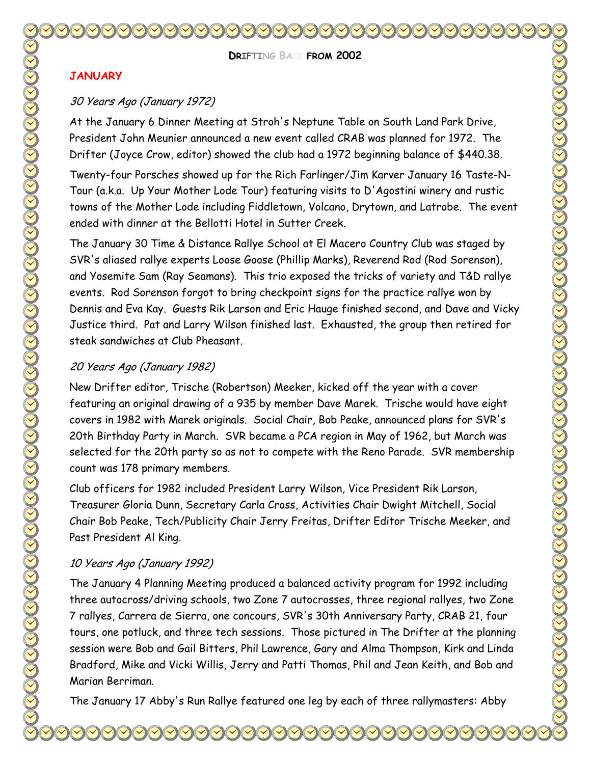**DRIFTING BACK FROM 2002** 

#### **JANUARY**

#### 30 Years Ago (January 1972)

At the January 6 Dinner Meeting at Stroh's Neptune Table on South Land Park Drive, President John Meunier announced a new event called CRAB was planned for 1972. The Drifter (Joyce Crow, editor) showed the club had a 1972 beginning balance of \$440.38.

Twenty-four Porsches showed up for the Rich Farlinger/Jim Karver January 16 Taste-N-Tour (a.k.a. Up Your Mother Lode Tour) featuring visits to D'Agostini winery and rustic towns of the Mother Lode including Fiddletown, Volcano, Drytown, and Latrobe. The event ended with dinner at the Bellotti Hotel in Sutter Creek.

The January 30 Time & Distance Rallye School at El Macero Country Club was staged by SVR's aliased rallye experts Loose Goose (Phillip Marks), Reverend Rod (Rod Sorenson), and Yosemite Sam (Ray Seamans). This trio exposed the tricks of variety and T&D rallye events. Rod Sorenson forgot to bring checkpoint signs for the practice rallye won by Dennis and Eva Kay. Guests Rik Larson and Eric Hauge finished second, and Dave and Vicky Justice third. Pat and Larry Wilson finished last. Exhausted, the group then retired for steak sandwiches at Club Pheasant.

#### 20 Years Ago (January 1982)

New Drifter editor, Trische (Robertson) Meeker, kicked off the year with a cover featuring an original drawing of a 935 by member Dave Marek. Trische would have eight covers in 1982 with Marek originals. Social Chair, Bob Peake, announced plans for SVR's 20th Birthday Party in March. SVR became a PCA region in May of 1962, but March was selected for the 20th party so as not to compete with the Reno Parade. SVR membership count was 178 primary members.

Club officers for 1982 included President Larry Wilson, Vice President Rik Larson, Treasurer Gloria Dunn, Secretary Carla Cross, Activities Chair Dwight Mitchell, Social Chair Bob Peake, Tech/Publicity Chair Jerry Freitas, Drifter Editor Trische Meeker, and Past President Al King.

#### 10 Years Ago (January 1992)

The January 4 Planning Meeting produced a balanced activity program for 1992 including three autocross/driving schools, two Zone 7 autocrosses, three regional rallyes, two Zone 7 rallyes, Carrera de Sierra, one concours, SVR's 30th Anniversary Party, CRAB 21, four tours, one potluck, and three tech sessions. Those pictured in The Drifter at the planning session were Bob and Gail Bitters, Phil Lawrence, Gary and Alma Thompson, Kirk and Linda Bradford, Mike and Vicki Willis, Jerry and Patti Thomas, Phil and Jean Keith, and Bob and Marian Berriman.

The January 17 Abby's Run Rallye featured one leg by each of three rallymasters: Abby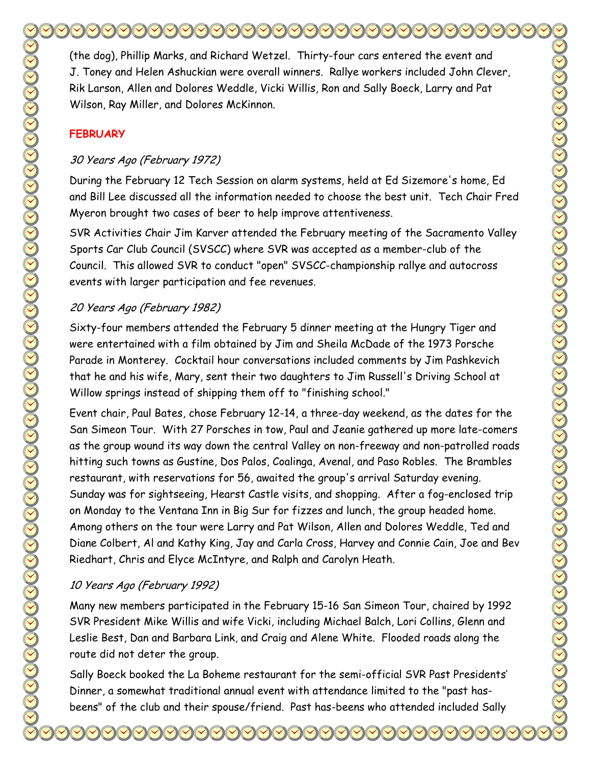(the dog), Phillip Marks, and Richard Wetzel. Thirty-four cars entered the event and J. Toney and Helen Ashuckian were overall winners. Rallye workers included John Clever, Rik Larson, Allen and Dolores Weddle, Vicki Willis, Ron and Sally Boeck, Larry and Pat Wilson, Ray Miller, and Dolores McKinnon.

## **FEBRUARY**

### 30 Years Ago (February 1972)

During the February 12 Tech Session on alarm systems, held at Ed Sizemore's home, Ed and Bill Lee discussed all the information needed to choose the best unit. Tech Chair Fred Myeron brought two cases of beer to help improve attentiveness.

SVR Activities Chair Jim Karver attended the February meeting of the Sacramento Valley Sports Car Club Council (SVSCC) where SVR was accepted as a member-club of the Council. This allowed SVR to conduct "open" SVSCC-championship rallye and autocross events with larger participation and fee revenues.

## 20 Years Ago (February 1982)

Sixty-four members attended the February 5 dinner meeting at the Hungry Tiger and were entertained with a film obtained by Jim and Sheila McDade of the 1973 Porsche Parade in Monterey. Cocktail hour conversations included comments by Jim Pashkevich that he and his wife, Mary, sent their two daughters to Jim Russell's Driving School at Willow springs instead of shipping them off to "finishing school."

Event chair, Paul Bates, chose February 12-14, a three-day weekend, as the dates for the San Simeon Tour. With 27 Porsches in tow, Paul and Jeanie gathered up more late-comers as the group wound its way down the central Valley on non-freeway and non-patrolled roads hitting such towns as Gustine, Dos Palos, Coalinga, Avenal, and Paso Robles. The Brambles restaurant, with reservations for 56, awaited the group's arrival Saturday evening. Sunday was for sightseeing, Hearst Castle visits, and shopping. After a fog-enclosed trip on Monday to the Ventana Inn in Big Sur for fizzes and lunch, the group headed home. Among others on the tour were Larry and Pat Wilson, Allen and Dolores Weddle, Ted and Diane Colbert, Al and Kathy King, Jay and Carla Cross, Harvey and Connie Cain, Joe and Bev Riedhart, Chris and Elyce McIntyre, and Ralph and Carolyn Heath.

## 10 Years Ago (February 1992)

Many new members participated in the February 15-16 San Simeon Tour, chaired by 1992 SVR President Mike Willis and wife Vicki, including Michael Balch, Lori Collins, Glenn and Leslie Best, Dan and Barbara Link, and Craig and Alene White. Flooded roads along the route did not deter the group.

Sally Boeck booked the La Boheme restaurant for the semi-official SVR Past Presidents' Dinner, a somewhat traditional annual event with attendance limited to the "past hasbeens" of the club and their spouse/friend. Past has-beens who attended included Sally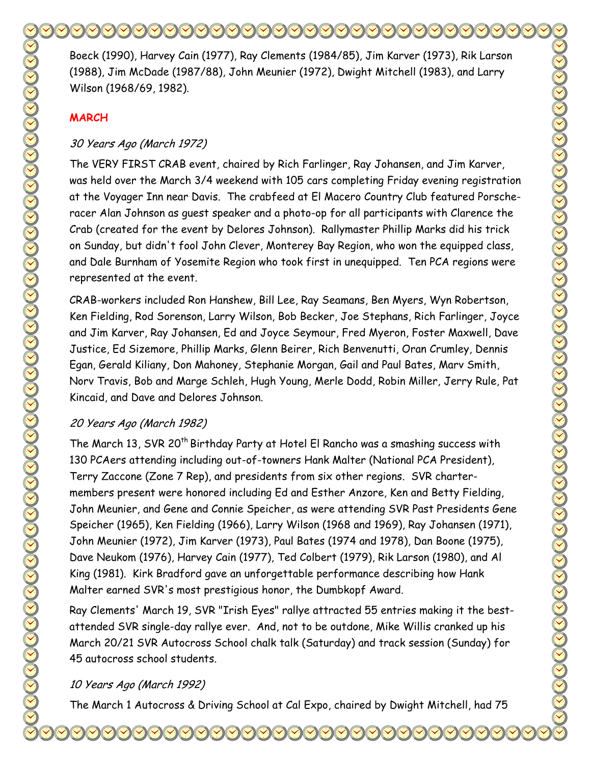Boeck (1990), Harvey Cain (1977), Ray Clements (1984/85), Jim Karver (1973), Rik Larson (1988), Jim McDade (1987/88), John Meunier (1972), Dwight Mitchell (1983), and Larry Wilson (1968/69, 1982).

#### **MARCH**

#### 30 Years Ago (March 1972)

The VERY FIRST CRAB event, chaired by Rich Farlinger, Ray Johansen, and Jim Karver, was held over the March 3/4 weekend with 105 cars completing Friday evening registration at the Voyager Inn near Davis. The crabfeed at El Macero Country Club featured Porscheracer Alan Johnson as guest speaker and a photo-op for all participants with Clarence the Crab (created for the event by Delores Johnson). Rallymaster Phillip Marks did his trick on Sunday, but didn't fool John Clever, Monterey Bay Region, who won the equipped class, and Dale Burnham of Yosemite Region who took first in unequipped. Ten PCA regions were represented at the event.

CRAB-workers included Ron Hanshew, Bill Lee, Ray Seamans, Ben Myers, Wyn Robertson, Ken Fielding, Rod Sorenson, Larry Wilson, Bob Becker, Joe Stephans, Rich Farlinger, Joyce and Jim Karver, Ray Johansen, Ed and Joyce Seymour, Fred Myeron, Foster Maxwell, Dave Justice, Ed Sizemore, Phillip Marks, Glenn Beirer, Rich Benvenutti, Oran Crumley, Dennis Egan, Gerald Kiliany, Don Mahoney, Stephanie Morgan, Gail and Paul Bates, Marv Smith, Norv Travis, Bob and Marge Schleh, Hugh Young, Merle Dodd, Robin Miller, Jerry Rule, Pat Kincaid, and Dave and Delores Johnson.

## 20 Years Ago (March 1982)

The March 13, SVR 20<sup>th</sup> Birthday Party at Hotel El Rancho was a smashing success with 130 PCAers attending including out-of-towners Hank Malter (National PCA President), Terry Zaccone (Zone 7 Rep), and presidents from six other regions. SVR chartermembers present were honored including Ed and Esther Anzore, Ken and Betty Fielding, John Meunier, and Gene and Connie Speicher, as were attending SVR Past Presidents Gene Speicher (1965), Ken Fielding (1966), Larry Wilson (1968 and 1969), Ray Johansen (1971), John Meunier (1972), Jim Karver (1973), Paul Bates (1974 and 1978), Dan Boone (1975), Dave Neukom (1976), Harvey Cain (1977), Ted Colbert (1979), Rik Larson (1980), and Al King (1981). Kirk Bradford gave an unforgettable performance describing how Hank Malter earned SVR's most prestigious honor, the Dumbkopf Award.

Ray Clements' March 19, SVR "Irish Eyes" rallye attracted 55 entries making it the bestattended SVR single-day rallye ever. And, not to be outdone, Mike Willis cranked up his March 20/21 SVR Autocross School chalk talk (Saturday) and track session (Sunday) for 45 autocross school students.

#### 10 Years Ago (March 1992)

The March 1 Autocross & Driving School at Cal Expo, chaired by Dwight Mitchell, had 75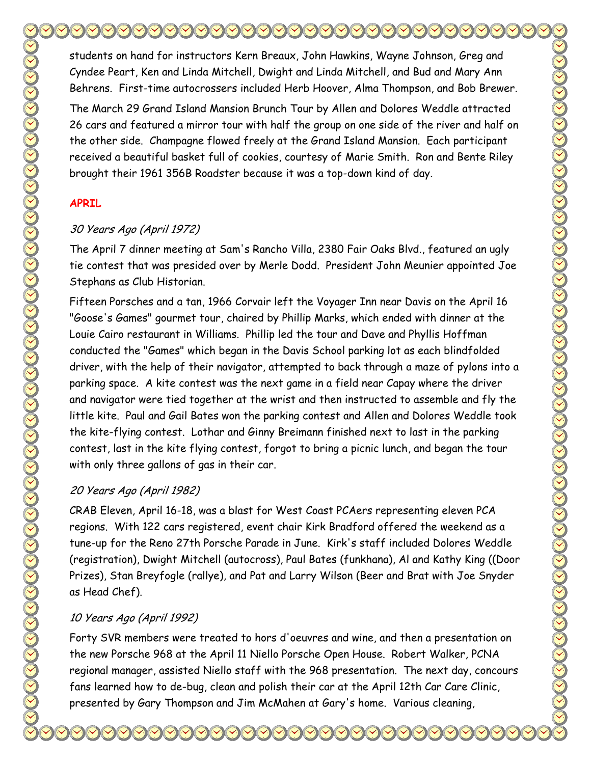students on hand for instructors Kern Breaux, John Hawkins, Wayne Johnson, Greg and Cyndee Peart, Ken and Linda Mitchell, Dwight and Linda Mitchell, and Bud and Mary Ann Behrens. First-time autocrossers included Herb Hoover, Alma Thompson, and Bob Brewer.

The March 29 Grand Island Mansion Brunch Tour by Allen and Dolores Weddle attracted 26 cars and featured a mirror tour with half the group on one side of the river and half on the other side. Champagne flowed freely at the Grand Island Mansion. Each participant received a beautiful basket full of cookies, courtesy of Marie Smith. Ron and Bente Riley brought their 1961 356B Roadster because it was a top-down kind of day.

#### **APRIL**

## 30 Years Ago (April 1972)

The April 7 dinner meeting at Sam's Rancho Villa, 2380 Fair Oaks Blvd., featured an ugly tie contest that was presided over by Merle Dodd. President John Meunier appointed Joe Stephans as Club Historian.

Fifteen Porsches and a tan, 1966 Corvair left the Voyager Inn near Davis on the April 16 "Goose's Games" gourmet tour, chaired by Phillip Marks, which ended with dinner at the Louie Cairo restaurant in Williams. Phillip led the tour and Dave and Phyllis Hoffman conducted the "Games" which began in the Davis School parking lot as each blindfolded driver, with the help of their navigator, attempted to back through a maze of pylons into a parking space. A kite contest was the next game in a field near Capay where the driver and navigator were tied together at the wrist and then instructed to assemble and fly the little kite. Paul and Gail Bates won the parking contest and Allen and Dolores Weddle took the kite-flying contest. Lothar and Ginny Breimann finished next to last in the parking contest, last in the kite flying contest, forgot to bring a picnic lunch, and began the tour with only three gallons of gas in their car.

## 20 Years Ago (April 1982)

CRAB Eleven, April 16-18, was a blast for West Coast PCAers representing eleven PCA regions. With 122 cars registered, event chair Kirk Bradford offered the weekend as a tune-up for the Reno 27th Porsche Parade in June. Kirk's staff included Dolores Weddle (registration), Dwight Mitchell (autocross), Paul Bates (funkhana), Al and Kathy King ((Door Prizes), Stan Breyfogle (rallye), and Pat and Larry Wilson (Beer and Brat with Joe Snyder as Head Chef).

## 10 Years Ago (April 1992)

Forty SVR members were treated to hors d'oeuvres and wine, and then a presentation on the new Porsche 968 at the April 11 Niello Porsche Open House. Robert Walker, PCNA regional manager, assisted Niello staff with the 968 presentation. The next day, concours fans learned how to de-bug, clean and polish their car at the April 12th Car Care Clinic, presented by Gary Thompson and Jim McMahen at Gary's home. Various cleaning,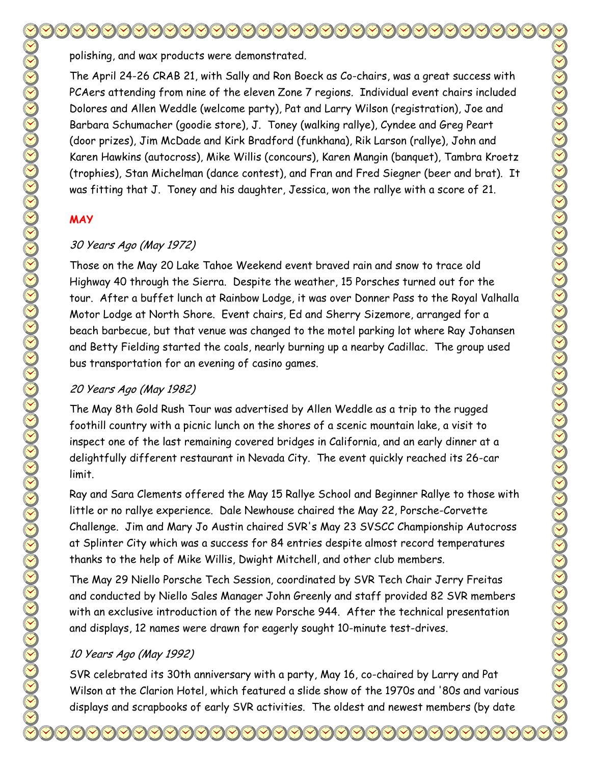polishing, and wax products were demonstrated.

The April 24-26 CRAB 21, with Sally and Ron Boeck as Co-chairs, was a great success with PCAers attending from nine of the eleven Zone 7 regions. Individual event chairs included Dolores and Allen Weddle (welcome party), Pat and Larry Wilson (registration), Joe and Barbara Schumacher (goodie store), J. Toney (walking rallye), Cyndee and Greg Peart (door prizes), Jim McDade and Kirk Bradford (funkhana), Rik Larson (rallye), John and Karen Hawkins (autocross), Mike Willis (concours), Karen Mangin (banquet), Tambra Kroetz (trophies), Stan Michelman (dance contest), and Fran and Fred Siegner (beer and brat). It was fitting that J. Toney and his daughter, Jessica, won the rallye with a score of 21.

## **MAY**

## 30 Years Ago (May 1972)

Those on the May 20 Lake Tahoe Weekend event braved rain and snow to trace old Highway 40 through the Sierra. Despite the weather, 15 Porsches turned out for the tour. After a buffet lunch at Rainbow Lodge, it was over Donner Pass to the Royal Valhalla Motor Lodge at North Shore. Event chairs, Ed and Sherry Sizemore, arranged for a beach barbecue, but that venue was changed to the motel parking lot where Ray Johansen and Betty Fielding started the coals, nearly burning up a nearby Cadillac. The group used bus transportation for an evening of casino games.

## 20 Years Ago (May 1982)

The May 8th Gold Rush Tour was advertised by Allen Weddle as a trip to the rugged foothill country with a picnic lunch on the shores of a scenic mountain lake, a visit to inspect one of the last remaining covered bridges in California, and an early dinner at a delightfully different restaurant in Nevada City. The event quickly reached its 26-car limit.

Ray and Sara Clements offered the May 15 Rallye School and Beginner Rallye to those with little or no rallye experience. Dale Newhouse chaired the May 22, Porsche-Corvette Challenge. Jim and Mary Jo Austin chaired SVR's May 23 SVSCC Championship Autocross at Splinter City which was a success for 84 entries despite almost record temperatures thanks to the help of Mike Willis, Dwight Mitchell, and other club members.

The May 29 Niello Porsche Tech Session, coordinated by SVR Tech Chair Jerry Freitas and conducted by Niello Sales Manager John Greenly and staff provided 82 SVR members with an exclusive introduction of the new Porsche 944. After the technical presentation and displays, 12 names were drawn for eagerly sought 10-minute test-drives.

## 10 Years Ago (May 1992)

SVR celebrated its 30th anniversary with a party, May 16, co-chaired by Larry and Pat Wilson at the Clarion Hotel, which featured a slide show of the 1970s and '80s and various displays and scrapbooks of early SVR activities. The oldest and newest members (by date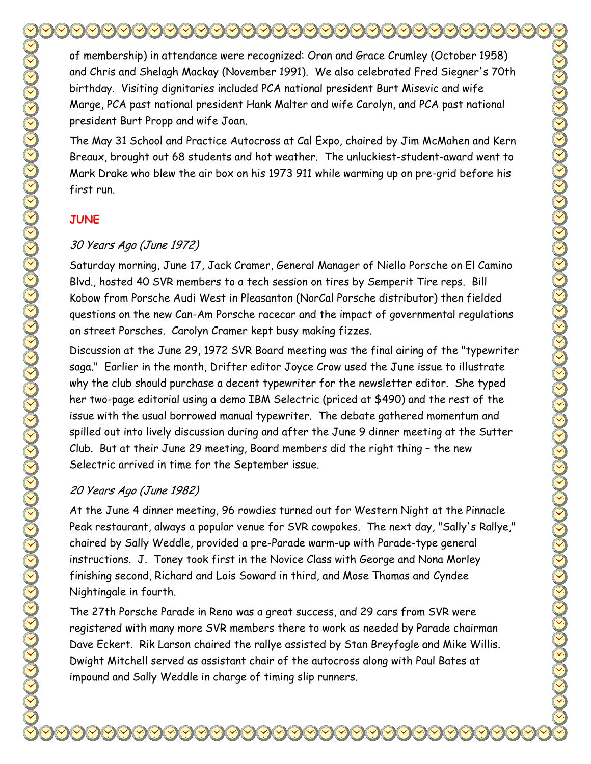of membership) in attendance were recognized: Oran and Grace Crumley (October 1958) and Chris and Shelagh Mackay (November 1991). We also celebrated Fred Siegner's 70th birthday. Visiting dignitaries included PCA national president Burt Misevic and wife Marge, PCA past national president Hank Malter and wife Carolyn, and PCA past national president Burt Propp and wife Joan.

The May 31 School and Practice Autocross at Cal Expo, chaired by Jim McMahen and Kern Breaux, brought out 68 students and hot weather. The unluckiest-student-award went to Mark Drake who blew the air box on his 1973 911 while warming up on pre-grid before his first run.

#### **JUNE**

#### 30 Years Ago (June 1972)

Saturday morning, June 17, Jack Cramer, General Manager of Niello Porsche on El Camino Blvd., hosted 40 SVR members to a tech session on tires by Semperit Tire reps. Bill Kobow from Porsche Audi West in Pleasanton (NorCal Porsche distributor) then fielded questions on the new Can-Am Porsche racecar and the impact of governmental regulations on street Porsches. Carolyn Cramer kept busy making fizzes.

Discussion at the June 29, 1972 SVR Board meeting was the final airing of the "typewriter saga." Earlier in the month, Drifter editor Joyce Crow used the June issue to illustrate why the club should purchase a decent typewriter for the newsletter editor. She typed her two-page editorial using a demo IBM Selectric (priced at \$490) and the rest of the issue with the usual borrowed manual typewriter. The debate gathered momentum and spilled out into lively discussion during and after the June 9 dinner meeting at the Sutter Club. But at their June 29 meeting, Board members did the right thing – the new Selectric arrived in time for the September issue.

#### 20 Years Ago (June 1982)

At the June 4 dinner meeting, 96 rowdies turned out for Western Night at the Pinnacle Peak restaurant, always a popular venue for SVR cowpokes. The next day, "Sally's Rallye," chaired by Sally Weddle, provided a pre-Parade warm-up with Parade-type general instructions. J. Toney took first in the Novice Class with George and Nona Morley finishing second, Richard and Lois Soward in third, and Mose Thomas and Cyndee Nightingale in fourth.

The 27th Porsche Parade in Reno was a great success, and 29 cars from SVR were registered with many more SVR members there to work as needed by Parade chairman Dave Eckert. Rik Larson chaired the rallye assisted by Stan Breyfogle and Mike Willis. Dwight Mitchell served as assistant chair of the autocross along with Paul Bates at impound and Sally Weddle in charge of timing slip runners.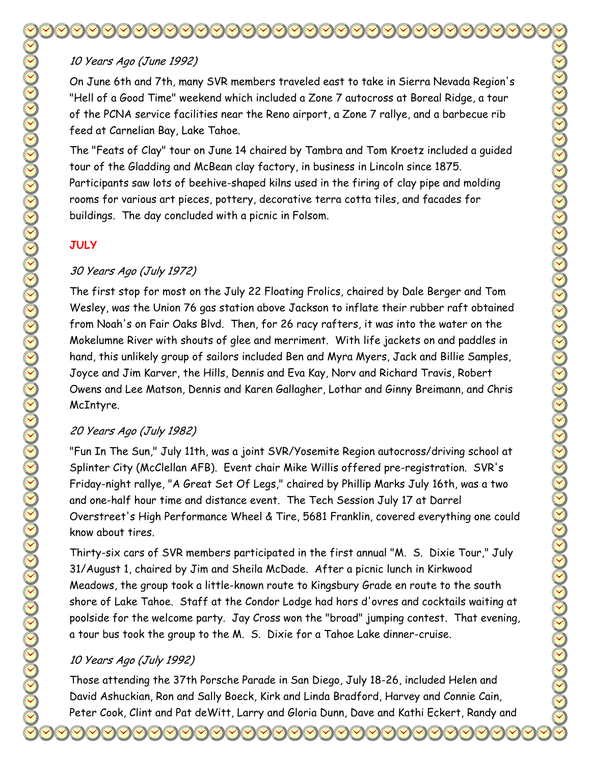## 10 Years Ago (June 1992)

On June 6th and 7th, many SVR members traveled east to take in Sierra Nevada Region's "Hell of a Good Time" weekend which included a Zone 7 autocross at Boreal Ridge, a tour of the PCNA service facilities near the Reno airport, a Zone 7 rallye, and a barbecue rib feed at Carnelian Bay, Lake Tahoe.

The "Feats of Clay" tour on June 14 chaired by Tambra and Tom Kroetz included a guided tour of the Gladding and McBean clay factory, in business in Lincoln since 1875. Participants saw lots of beehive-shaped kilns used in the firing of clay pipe and molding rooms for various art pieces, pottery, decorative terra cotta tiles, and facades for buildings. The day concluded with a picnic in Folsom.

#### **JULY**

## 30 Years Ago (July 1972)

The first stop for most on the July 22 Floating Frolics, chaired by Dale Berger and Tom Wesley, was the Union 76 gas station above Jackson to inflate their rubber raft obtained from Noah's on Fair Oaks Blvd. Then, for 26 racy rafters, it was into the water on the Mokelumne River with shouts of glee and merriment. With life jackets on and paddles in hand, this unlikely group of sailors included Ben and Myra Myers, Jack and Billie Samples, Joyce and Jim Karver, the Hills, Dennis and Eva Kay, Norv and Richard Travis, Robert Owens and Lee Matson, Dennis and Karen Gallagher, Lothar and Ginny Breimann, and Chris McIntyre.

## 20 Years Ago (July 1982)

"Fun In The Sun," July 11th, was a joint SVR/Yosemite Region autocross/driving school at Splinter City (McClellan AFB). Event chair Mike Willis offered pre-registration. SVR's Friday-night rallye, "A Great Set Of Legs," chaired by Phillip Marks July 16th, was a two and one-half hour time and distance event. The Tech Session July 17 at Darrel Overstreet's High Performance Wheel & Tire, 5681 Franklin, covered everything one could know about tires.

Thirty-six cars of SVR members participated in the first annual "M. S. Dixie Tour," July 31/August 1, chaired by Jim and Sheila McDade. After a picnic lunch in Kirkwood Meadows, the group took a little-known route to Kingsbury Grade en route to the south shore of Lake Tahoe. Staff at the Condor Lodge had hors d'ovres and cocktails waiting at poolside for the welcome party. Jay Cross won the "broad" jumping contest. That evening, a tour bus took the group to the M. S. Dixie for a Tahoe Lake dinner-cruise.

#### 10 Years Ago (July 1992)

Those attending the 37th Porsche Parade in San Diego, July 18-26, included Helen and David Ashuckian, Ron and Sally Boeck, Kirk and Linda Bradford, Harvey and Connie Cain, Peter Cook, Clint and Pat deWitt, Larry and Gloria Dunn, Dave and Kathi Eckert, Randy and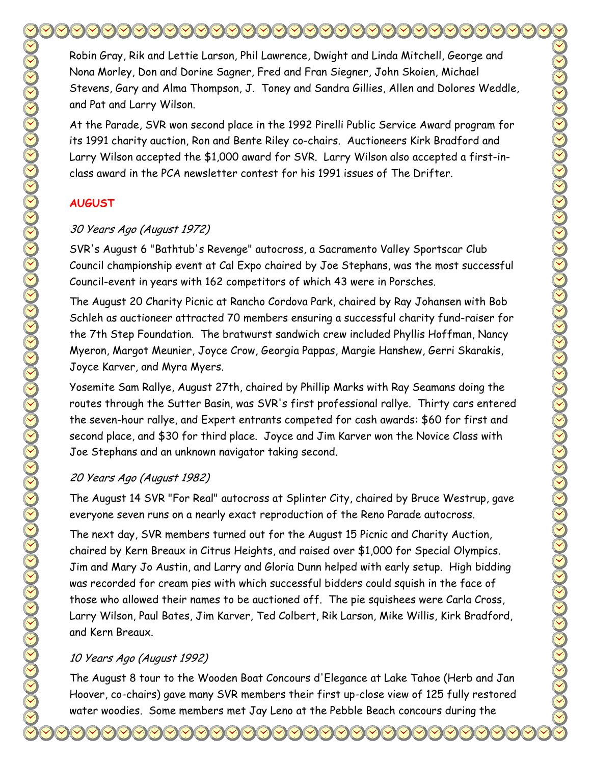Robin Gray, Rik and Lettie Larson, Phil Lawrence, Dwight and Linda Mitchell, George and Nona Morley, Don and Dorine Sagner, Fred and Fran Siegner, John Skoien, Michael Stevens, Gary and Alma Thompson, J. Toney and Sandra Gillies, Allen and Dolores Weddle, and Pat and Larry Wilson.

At the Parade, SVR won second place in the 1992 Pirelli Public Service Award program for its 1991 charity auction, Ron and Bente Riley co-chairs. Auctioneers Kirk Bradford and Larry Wilson accepted the \$1,000 award for SVR. Larry Wilson also accepted a first-inclass award in the PCA newsletter contest for his 1991 issues of The Drifter.

## **AUGUST**

#### 30 Years Ago (August 1972)

SVR's August 6 "Bathtub's Revenge" autocross, a Sacramento Valley Sportscar Club Council championship event at Cal Expo chaired by Joe Stephans, was the most successful Council-event in years with 162 competitors of which 43 were in Porsches.

The August 20 Charity Picnic at Rancho Cordova Park, chaired by Ray Johansen with Bob Schleh as auctioneer attracted 70 members ensuring a successful charity fund-raiser for the 7th Step Foundation. The bratwurst sandwich crew included Phyllis Hoffman, Nancy Myeron, Margot Meunier, Joyce Crow, Georgia Pappas, Margie Hanshew, Gerri Skarakis, Joyce Karver, and Myra Myers.

Yosemite Sam Rallye, August 27th, chaired by Phillip Marks with Ray Seamans doing the routes through the Sutter Basin, was SVR's first professional rallye. Thirty cars entered the seven-hour rallye, and Expert entrants competed for cash awards: \$60 for first and second place, and \$30 for third place. Joyce and Jim Karver won the Novice Class with Joe Stephans and an unknown navigator taking second.

#### 20 Years Ago (August 1982)

The August 14 SVR "For Real" autocross at Splinter City, chaired by Bruce Westrup, gave everyone seven runs on a nearly exact reproduction of the Reno Parade autocross.

The next day, SVR members turned out for the August 15 Picnic and Charity Auction, chaired by Kern Breaux in Citrus Heights, and raised over \$1,000 for Special Olympics. Jim and Mary Jo Austin, and Larry and Gloria Dunn helped with early setup. High bidding was recorded for cream pies with which successful bidders could squish in the face of those who allowed their names to be auctioned off. The pie squishees were Carla Cross, Larry Wilson, Paul Bates, Jim Karver, Ted Colbert, Rik Larson, Mike Willis, Kirk Bradford, and Kern Breaux.

## 10 Years Ago (August 1992)

The August 8 tour to the Wooden Boat Concours d'Elegance at Lake Tahoe (Herb and Jan Hoover, co-chairs) gave many SVR members their first up-close view of 125 fully restored water woodies. Some members met Jay Leno at the Pebble Beach concours during the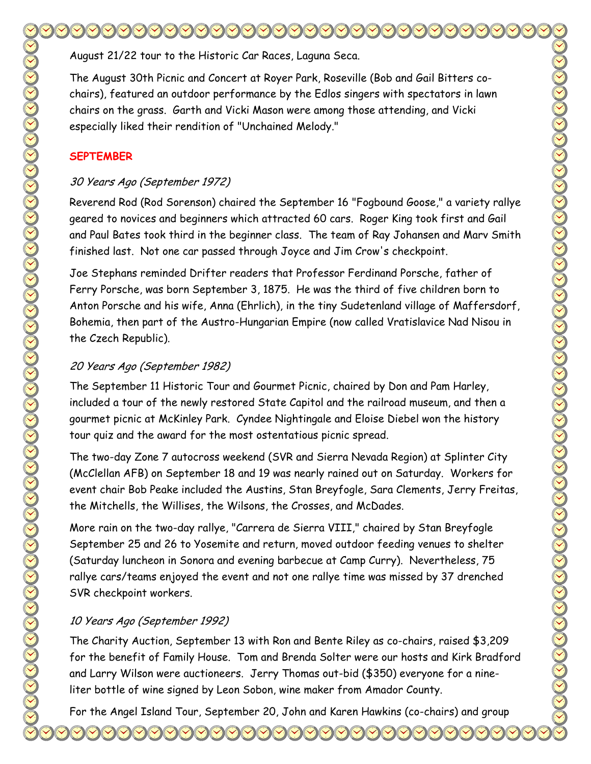August 21/22 tour to the Historic Car Races, Laguna Seca.

The August 30th Picnic and Concert at Royer Park, Roseville (Bob and Gail Bitters cochairs), featured an outdoor performance by the Edlos singers with spectators in lawn chairs on the grass. Garth and Vicki Mason were among those attending, and Vicki especially liked their rendition of "Unchained Melody."

#### **SEPTEMBER**

## 30 Years Ago (September 1972)

Reverend Rod (Rod Sorenson) chaired the September 16 "Fogbound Goose," a variety rallye geared to novices and beginners which attracted 60 cars. Roger King took first and Gail and Paul Bates took third in the beginner class. The team of Ray Johansen and Marv Smith finished last. Not one car passed through Joyce and Jim Crow's checkpoint.

Joe Stephans reminded Drifter readers that Professor Ferdinand Porsche, father of Ferry Porsche, was born September 3, 1875. He was the third of five children born to Anton Porsche and his wife, Anna (Ehrlich), in the tiny Sudetenland village of Maffersdorf, Bohemia, then part of the Austro-Hungarian Empire (now called Vratislavice Nad Nisou in the Czech Republic).

## 20 Years Ago (September 1982)

The September 11 Historic Tour and Gourmet Picnic, chaired by Don and Pam Harley, included a tour of the newly restored State Capitol and the railroad museum, and then a gourmet picnic at McKinley Park. Cyndee Nightingale and Eloise Diebel won the history tour quiz and the award for the most ostentatious picnic spread.

The two-day Zone 7 autocross weekend (SVR and Sierra Nevada Region) at Splinter City (McClellan AFB) on September 18 and 19 was nearly rained out on Saturday. Workers for event chair Bob Peake included the Austins, Stan Breyfogle, Sara Clements, Jerry Freitas, the Mitchells, the Willises, the Wilsons, the Crosses, and McDades.

More rain on the two-day rallye, "Carrera de Sierra VIII," chaired by Stan Breyfogle September 25 and 26 to Yosemite and return, moved outdoor feeding venues to shelter (Saturday luncheon in Sonora and evening barbecue at Camp Curry). Nevertheless, 75 rallye cars/teams enjoyed the event and not one rallye time was missed by 37 drenched SVR checkpoint workers.

# 10 Years Ago (September 1992)

The Charity Auction, September 13 with Ron and Bente Riley as co-chairs, raised \$3,209 for the benefit of Family House. Tom and Brenda Solter were our hosts and Kirk Bradford and Larry Wilson were auctioneers. Jerry Thomas out-bid (\$350) everyone for a nineliter bottle of wine signed by Leon Sobon, wine maker from Amador County.

For the Angel Island Tour, September 20, John and Karen Hawkins (co-chairs) and group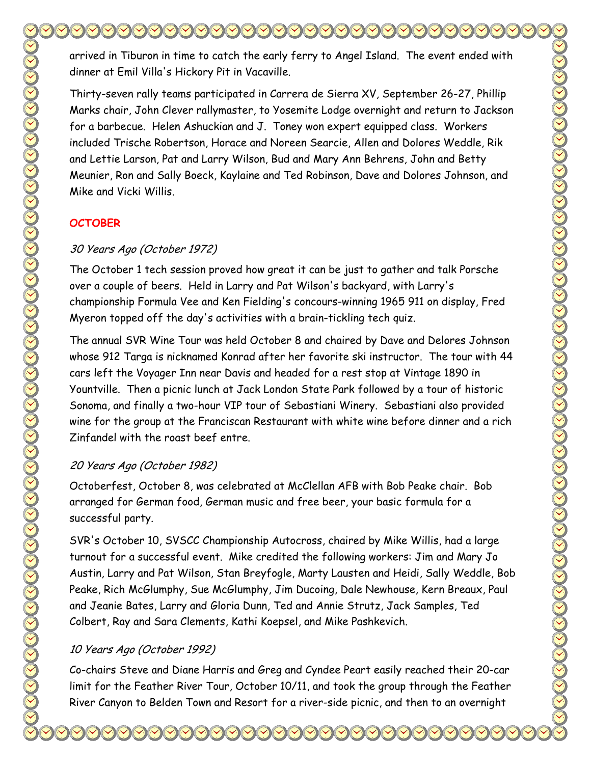arrived in Tiburon in time to catch the early ferry to Angel Island. The event ended with dinner at Emil Villa's Hickory Pit in Vacaville.

Thirty-seven rally teams participated in Carrera de Sierra XV, September 26-27, Phillip Marks chair, John Clever rallymaster, to Yosemite Lodge overnight and return to Jackson for a barbecue. Helen Ashuckian and J. Toney won expert equipped class. Workers included Trische Robertson, Horace and Noreen Searcie, Allen and Dolores Weddle, Rik and Lettie Larson, Pat and Larry Wilson, Bud and Mary Ann Behrens, John and Betty Meunier, Ron and Sally Boeck, Kaylaine and Ted Robinson, Dave and Dolores Johnson, and Mike and Vicki Willis.

#### **OCTOBER**

#### 30 Years Ago (October 1972)

The October 1 tech session proved how great it can be just to gather and talk Porsche over a couple of beers. Held in Larry and Pat Wilson's backyard, with Larry's championship Formula Vee and Ken Fielding's concours-winning 1965 911 on display, Fred Myeron topped off the day's activities with a brain-tickling tech quiz.

The annual SVR Wine Tour was held October 8 and chaired by Dave and Delores Johnson whose 912 Targa is nicknamed Konrad after her favorite ski instructor. The tour with 44 cars left the Voyager Inn near Davis and headed for a rest stop at Vintage 1890 in Yountville. Then a picnic lunch at Jack London State Park followed by a tour of historic Sonoma, and finally a two-hour VIP tour of Sebastiani Winery. Sebastiani also provided wine for the group at the Franciscan Restaurant with white wine before dinner and a rich Zinfandel with the roast beef entre.

#### 20 Years Ago (October 1982)

Octoberfest, October 8, was celebrated at McClellan AFB with Bob Peake chair. Bob arranged for German food, German music and free beer, your basic formula for a successful party.

SVR's October 10, SVSCC Championship Autocross, chaired by Mike Willis, had a large turnout for a successful event. Mike credited the following workers: Jim and Mary Jo Austin, Larry and Pat Wilson, Stan Breyfogle, Marty Lausten and Heidi, Sally Weddle, Bob Peake, Rich McGlumphy, Sue McGlumphy, Jim Ducoing, Dale Newhouse, Kern Breaux, Paul and Jeanie Bates, Larry and Gloria Dunn, Ted and Annie Strutz, Jack Samples, Ted Colbert, Ray and Sara Clements, Kathi Koepsel, and Mike Pashkevich.

## 10 Years Ago (October 1992)

Co-chairs Steve and Diane Harris and Greg and Cyndee Peart easily reached their 20-car limit for the Feather River Tour, October 10/11, and took the group through the Feather River Canyon to Belden Town and Resort for a river-side picnic, and then to an overnight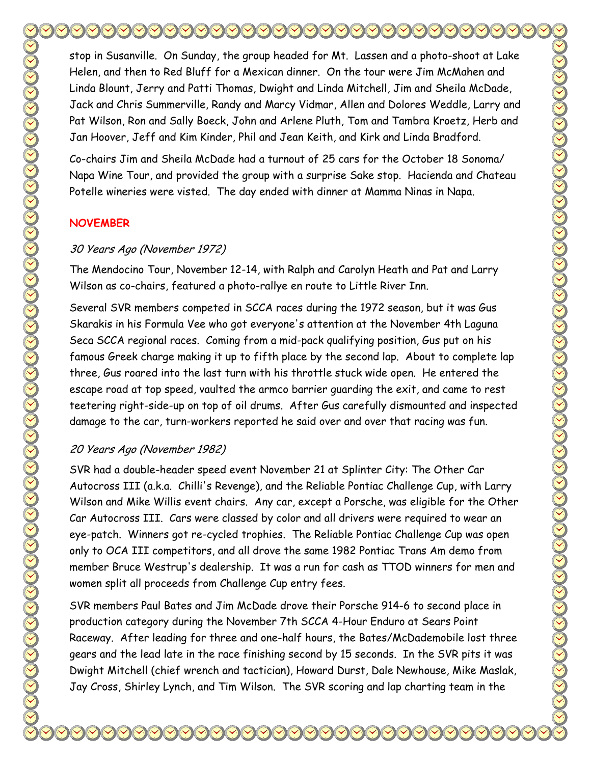stop in Susanville. On Sunday, the group headed for Mt. Lassen and a photo-shoot at Lake Helen, and then to Red Bluff for a Mexican dinner. On the tour were Jim McMahen and Linda Blount, Jerry and Patti Thomas, Dwight and Linda Mitchell, Jim and Sheila McDade, Jack and Chris Summerville, Randy and Marcy Vidmar, Allen and Dolores Weddle, Larry and Pat Wilson, Ron and Sally Boeck, John and Arlene Pluth, Tom and Tambra Kroetz, Herb and Jan Hoover, Jeff and Kim Kinder, Phil and Jean Keith, and Kirk and Linda Bradford.

Co-chairs Jim and Sheila McDade had a turnout of 25 cars for the October 18 Sonoma/ Napa Wine Tour, and provided the group with a surprise Sake stop. Hacienda and Chateau Potelle wineries were visted. The day ended with dinner at Mamma Ninas in Napa.

#### **NOVEMBER**

#### 30 Years Ago (November 1972)

The Mendocino Tour, November 12-14, with Ralph and Carolyn Heath and Pat and Larry Wilson as co-chairs, featured a photo-rallye en route to Little River Inn.

Several SVR members competed in SCCA races during the 1972 season, but it was Gus Skarakis in his Formula Vee who got everyone's attention at the November 4th Laguna Seca SCCA regional races. Coming from a mid-pack qualifying position, Gus put on his famous Greek charge making it up to fifth place by the second lap. About to complete lap three, Gus roared into the last turn with his throttle stuck wide open. He entered the escape road at top speed, vaulted the armco barrier guarding the exit, and came to rest teetering right-side-up on top of oil drums. After Gus carefully dismounted and inspected damage to the car, turn-workers reported he said over and over that racing was fun.

#### 20 Years Ago (November 1982)

SVR had a double-header speed event November 21 at Splinter City: The Other Car Autocross III (a.k.a. Chilli's Revenge), and the Reliable Pontiac Challenge Cup, with Larry Wilson and Mike Willis event chairs. Any car, except a Porsche, was eligible for the Other Car Autocross III. Cars were classed by color and all drivers were required to wear an eye-patch. Winners got re-cycled trophies. The Reliable Pontiac Challenge Cup was open only to OCA III competitors, and all drove the same 1982 Pontiac Trans Am demo from member Bruce Westrup's dealership. It was a run for cash as TTOD winners for men and women split all proceeds from Challenge Cup entry fees.

SVR members Paul Bates and Jim McDade drove their Porsche 914-6 to second place in production category during the November 7th SCCA 4-Hour Enduro at Sears Point Raceway. After leading for three and one-half hours, the Bates/McDademobile lost three gears and the lead late in the race finishing second by 15 seconds. In the SVR pits it was Dwight Mitchell (chief wrench and tactician), Howard Durst, Dale Newhouse, Mike Maslak, Jay Cross, Shirley Lynch, and Tim Wilson. The SVR scoring and lap charting team in the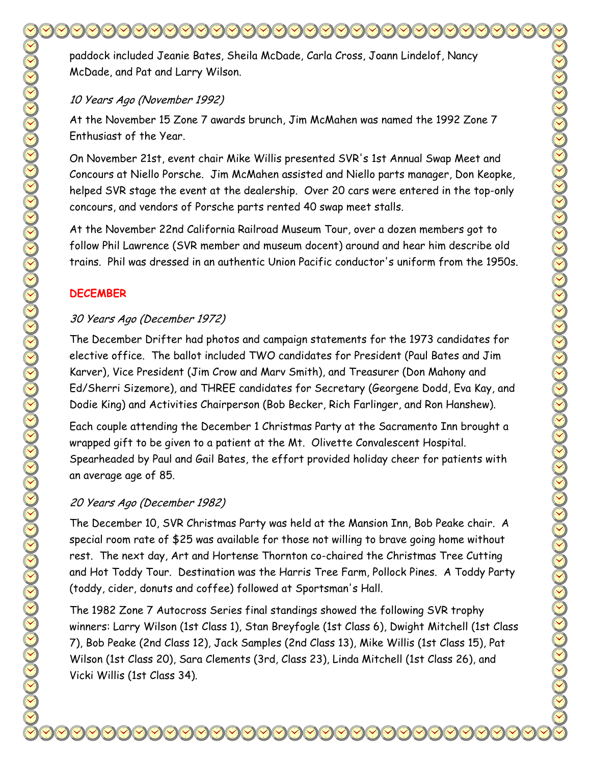paddock included Jeanie Bates, Sheila McDade, Carla Cross, Joann Lindelof, Nancy McDade, and Pat and Larry Wilson.

#### 10 Years Ago (November 1992)

At the November 15 Zone 7 awards brunch, Jim McMahen was named the 1992 Zone 7 Enthusiast of the Year.

On November 21st, event chair Mike Willis presented SVR's 1st Annual Swap Meet and Concours at Niello Porsche. Jim McMahen assisted and Niello parts manager, Don Keopke, helped SVR stage the event at the dealership. Over 20 cars were entered in the top-only concours, and vendors of Porsche parts rented 40 swap meet stalls.

At the November 22nd California Railroad Museum Tour, over a dozen members got to follow Phil Lawrence (SVR member and museum docent) around and hear him describe old trains. Phil was dressed in an authentic Union Pacific conductor's uniform from the 1950s.

#### **DECEMBER**

#### 30 Years Ago (December 1972)

The December Drifter had photos and campaign statements for the 1973 candidates for elective office. The ballot included TWO candidates for President (Paul Bates and Jim Karver), Vice President (Jim Crow and Marv Smith), and Treasurer (Don Mahony and Ed/Sherri Sizemore), and THREE candidates for Secretary (Georgene Dodd, Eva Kay, and Dodie King) and Activities Chairperson (Bob Becker, Rich Farlinger, and Ron Hanshew).

Each couple attending the December 1 Christmas Party at the Sacramento Inn brought a wrapped gift to be given to a patient at the Mt. Olivette Convalescent Hospital. Spearheaded by Paul and Gail Bates, the effort provided holiday cheer for patients with an average age of 85.

## 20 Years Ago (December 1982)

The December 10, SVR Christmas Party was held at the Mansion Inn, Bob Peake chair. A special room rate of \$25 was available for those not willing to brave going home without rest. The next day, Art and Hortense Thornton co-chaired the Christmas Tree Cutting and Hot Toddy Tour. Destination was the Harris Tree Farm, Pollock Pines. A Toddy Party (toddy, cider, donuts and coffee) followed at Sportsman's Hall.

The 1982 Zone 7 Autocross Series final standings showed the following SVR trophy winners: Larry Wilson (1st Class 1), Stan Breyfogle (1st Class 6), Dwight Mitchell (1st Class 7), Bob Peake (2nd Class 12), Jack Samples (2nd Class 13), Mike Willis (1st Class 15), Pat Wilson (1st Class 20), Sara Clements (3rd, Class 23), Linda Mitchell (1st Class 26), and Vicki Willis (1st Class 34).